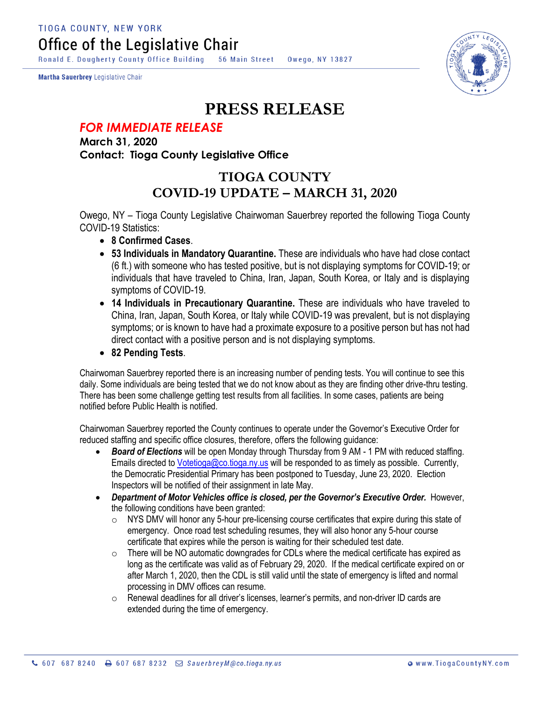**TIOGA COUNTY, NEW YORK** Office of the Legislative Chair

Ronald E. Dougherty County Office Building 56 Main Street Owego, NY 13827

Martha Sauerbrey Legislative Chair



## **PRESS RELEASE**

## *FOR IMMEDIATE RELEASE*

**March 31, 2020 Contact: Tioga County Legislative Office**

## **TIOGA COUNTY COVID-19 UPDATE – MARCH 31, 2020**

Owego, NY – Tioga County Legislative Chairwoman Sauerbrey reported the following Tioga County COVID-19 Statistics:

- **8 Confirmed Cases**.
- **53 Individuals in Mandatory Quarantine.** These are individuals who have had close contact (6 ft.) with someone who has tested positive, but is not displaying symptoms for COVID-19; or individuals that have traveled to China, Iran, Japan, South Korea, or Italy and is displaying symptoms of COVID-19.
- **14 Individuals in Precautionary Quarantine.** These are individuals who have traveled to China, Iran, Japan, South Korea, or Italy while COVID-19 was prevalent, but is not displaying symptoms; or is known to have had a proximate exposure to a positive person but has not had direct contact with a positive person and is not displaying symptoms.
- **82 Pending Tests**.

Chairwoman Sauerbrey reported there is an increasing number of pending tests. You will continue to see this daily. Some individuals are being tested that we do not know about as they are finding other drive-thru testing. There has been some challenge getting test results from all facilities. In some cases, patients are being notified before Public Health is notified.

Chairwoman Sauerbrey reported the County continues to operate under the Governor's Executive Order for reduced staffing and specific office closures, therefore, offers the following guidance:

- *Board of Elections* will be open Monday through Thursday from 9 AM 1 PM with reduced staffing. Emails directed to [Votetioga@co.tioga.ny.us](mailto:Votetioga@co.tioga.ny.us) will be responded to as timely as possible. Currently, the Democratic Presidential Primary has been postponed to Tuesday, June 23, 2020. Election Inspectors will be notified of their assignment in late May.
- *Department of Motor Vehicles office is closed, per the Governor's Executive Order.* However, the following conditions have been granted:
	- $\circ$  NYS DMV will honor any 5-hour pre-licensing course certificates that expire during this state of emergency. Once road test scheduling resumes, they will also honor any 5-hour course certificate that expires while the person is waiting for their scheduled test date.
	- $\circ$  There will be NO automatic downgrades for CDLs where the medical certificate has expired as long as the certificate was valid as of February 29, 2020. If the medical certificate expired on or after March 1, 2020, then the CDL is still valid until the state of emergency is lifted and normal processing in DMV offices can resume.
	- o Renewal deadlines for all driver's licenses, learner's permits, and non-driver ID cards are extended during the time of emergency.